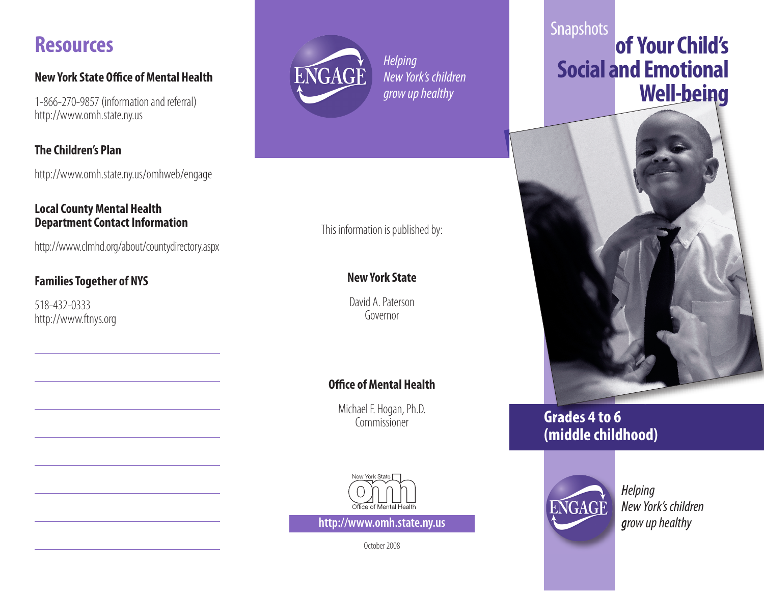# **Resources**

#### **New York State Office of Mental Health**

1-866-270-9857 (information and referral) http://www.omh.state.ny.us

#### **The Children's Plan**

http://www.omh.state.ny.us/omhweb/engage

#### **Local County Mental Health Department Contact Information**

http://www.clmhd.org/about/countydirectory.aspx

### **Families Together of NYS**

518-432-0333 http://www.ftnys.org



*Helping New York's children grow up healthy* 

### This information is published by:

### **New York State**

David A. Paterson Governor

### **Office of Mental Health**

Michael F. Hogan, Ph.D. Commissioner



**http://www.omh.state.ny.us grow up healthy** 

October 2008

# **Snapshots of Your Child's Social and Emotional Well-being**



# **Grades 4 to 6 (middle childhood)**



*Helping New York's children*